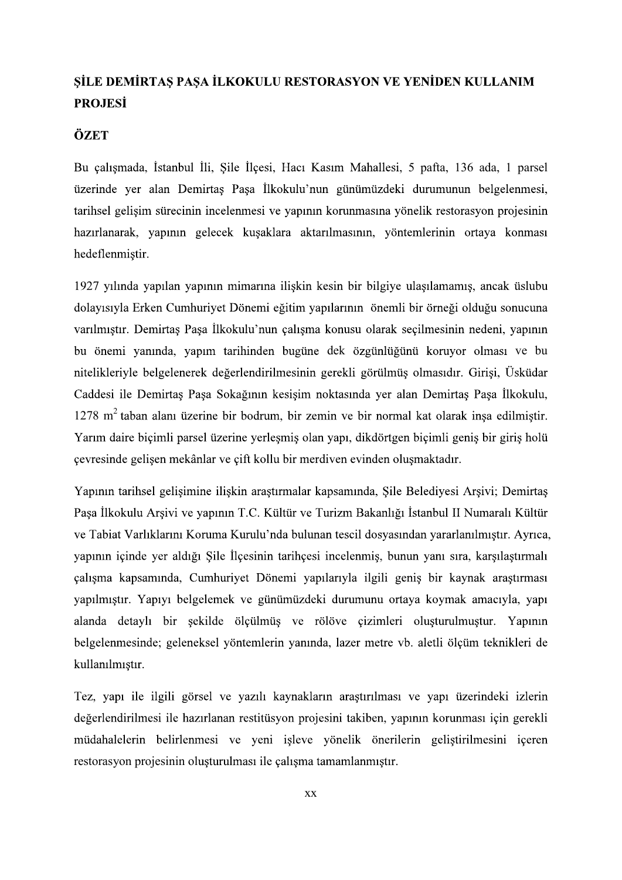## SİLE DEMİRTAŞ PAŞA İLKOKULU RESTORASYON VE YENİDEN KULLANIM **PROJESI**

## ÖZET

Bu çalışmada, İstanbul İli, Şile İlçesi, Hacı Kasım Mahallesi, 5 pafta, 136 ada, 1 parsel üzerinde yer alan Demirtaş Paşa İlkokulu'nun günümüzdeki durumunun belgelenmesi, tarihsel gelişim sürecinin incelenmesi ve yapının korunmasına yönelik restorasyon projesinin hazırlanarak, yapının gelecek kuşaklara aktarılmasının, yöntemlerinin ortaya konması hedeflenmiştir.

1927 yılında yapılan yapının mimarına ilişkin kesin bir bilgiye ulaşılamamış, ancak üslubu dolayısıyla Erken Cumhuriyet Dönemi eğitim yapılarının önemli bir örneği olduğu sonucuna varılmıştır. Demirtaş Paşa İlkokulu'nun çalışma konusu olarak seçilmesinin nedeni, yapının bu önemi yanında, yapım tarihinden bugüne dek özgünlüğünü koruyor olması ve bu niteliklerivle belgelenerek değerlendirilmesinin gerekli görülmüş olmasıdır. Girisi, Üsküdar Caddesi ile Demirtaş Paşa Sokağının kesişim noktasında yer alan Demirtaş Paşa İlkokulu,  $1278$  m<sup>2</sup> taban alanı üzerine bir bodrum, bir zemin ve bir normal kat olarak insa edilmiştir. Yarım daire biçimli parsel üzerine yerleşmiş olan yapı, dikdörtgen biçimli geniş bir giriş holü çevresinde gelişen mekânlar ve çift kollu bir merdiven evinden oluşmaktadır.

Yapının tarihsel gelisimine iliskin arastırmalar kapsamında, Sile Belediyesi Arsivi; Demirtas Paşa İlkokulu Arşivi ve yapının T.C. Kültür ve Turizm Bakanlığı İstanbul II Numaralı Kültür ve Tabiat Varlıklarını Koruma Kurulu'nda bulunan tescil dosyasından yararlanılmıştır. Ayrıca, vapının içinde yer aldığı Sile İlçesinin tarihçesi incelenmiş, bunun yanı sıra, karşılaştırmalı calısma kapsamında, Cumhurivet Dönemi yapılarıyla ilgili genis bir kaynak arastırması yapılmıştır. Yapıyı belgelemek ve günümüzdeki durumunu ortaya koymak amacıyla, yapı alanda detaylı bir şekilde ölçülmüş ve rölöve çizimleri oluşturulmuştur. Yapının belgelenmesinde; geleneksel yöntemlerin yanında, lazer metre vb. aletli ölçüm teknikleri de kullanılmıştır.

Tez, yapı ile ilgili görsel ve yazılı kaynakların arastırılması ve yapı üzerindeki izlerin değerlendirilmesi ile hazırlanan restitüsyon projesini takiben, yapının korunması için gerekli müdahalelerin belirlenmesi ve yeni isleve yönelik önerilerin gelistirilmesini iceren restorasyon projesinin oluşturulması ile çalışma tamamlanmıştır.